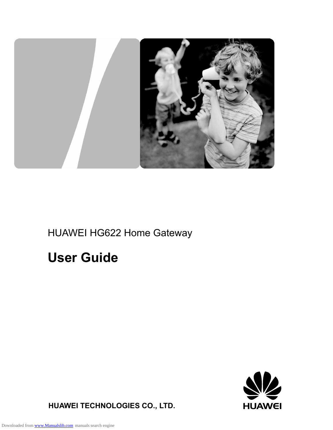

### HUAWEI HG622 Home Gateway

# **User Guide**



**HUAWEI TECHNOLOGIES CO., LTD.**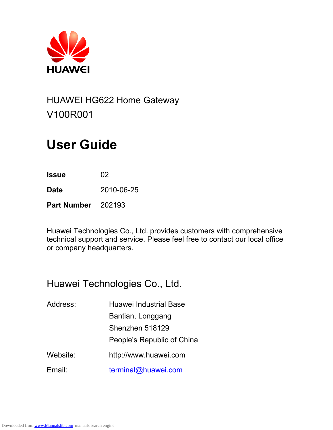

### HUAWEI HG622 Home Gateway V100R001

# **User Guide**

**Issue** 02

**Date** 2010-06-25

**Part Number** 202193

Huawei Technologies Co., Ltd. provides customers with comprehensive technical support and service. Please feel free to contact our local office or company headquarters.

### Huawei Technologies Co., Ltd.

| Address: | <b>Huawei Industrial Base</b> |
|----------|-------------------------------|
|          | Bantian, Longgang             |
|          | Shenzhen 518129               |
|          | People's Republic of China    |
| Website: | http://www.huawei.com         |
| Email:   | terminal@huawei.com           |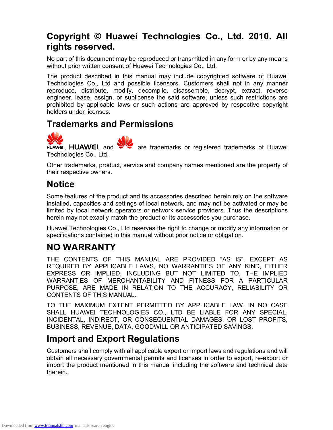#### **Copyright © Huawei Technologies Co., Ltd. 2010. All rights reserved.**

No part of this document may be reproduced or transmitted in any form or by any means without prior written consent of Huawei Technologies Co., Ltd.

The product described in this manual may include copyrighted software of Huawei Technologies Co., Ltd and possible licensors. Customers shall not in any manner reproduce, distribute, modify, decompile, disassemble, decrypt, extract, reverse engineer, lease, assign, or sublicense the said software, unless such restrictions are prohibited by applicable laws or such actions are approved by respective copyright holders under licenses.

#### **Trademarks and Permissions**

 $\sum_{n=1}^{\infty}$  , HUAWEI, and  $\sum_{n=1}^{\infty}$  are trademarks or registered trademarks of Huawei Technologies Co., Ltd.

Other trademarks, product, service and company names mentioned are the property of their respective owners.

#### **Notice**

Some features of the product and its accessories described herein rely on the software installed, capacities and settings of local network, and may not be activated or may be limited by local network operators or network service providers. Thus the descriptions herein may not exactly match the product or its accessories you purchase.

Huawei Technologies Co., Ltd reserves the right to change or modify any information or specifications contained in this manual without prior notice or obligation.

### **NO WARRANTY**

THE CONTENTS OF THIS MANUAL ARE PROVIDED "AS IS". EXCEPT AS REQUIRED BY APPLICABLE LAWS, NO WARRANTIES OF ANY KIND, EITHER EXPRESS OR IMPLIED, INCLUDING BUT NOT LIMITED TO, THE IMPLIED WARRANTIES OF MERCHANTABILITY AND FITNESS FOR A PARTICULAR PURPOSE, ARE MADE IN RELATION TO THE ACCURACY, RELIABILITY OR CONTENTS OF THIS MANUAL.

TO THE MAXIMUM EXTENT PERMITTED BY APPLICABLE LAW, IN NO CASE SHALL HUAWEI TECHNOLOGIES CO., LTD BE LIABLE FOR ANY SPECIAL, INCIDENTAL, INDIRECT, OR CONSEQUENTIAL DAMAGES, OR LOST PROFITS, BUSINESS, REVENUE, DATA, GOODWILL OR ANTICIPATED SAVINGS.

#### **Import and Export Regulations**

Customers shall comply with all applicable export or import laws and regulations and will obtain all necessary governmental permits and licenses in order to export, re-export or import the product mentioned in this manual including the software and technical data therein.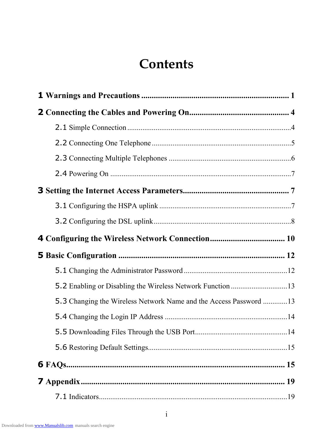### **Contents**

| 5.3 Changing the Wireless Network Name and the Access Password 13 |  |
|-------------------------------------------------------------------|--|
|                                                                   |  |
|                                                                   |  |
|                                                                   |  |
|                                                                   |  |
|                                                                   |  |
|                                                                   |  |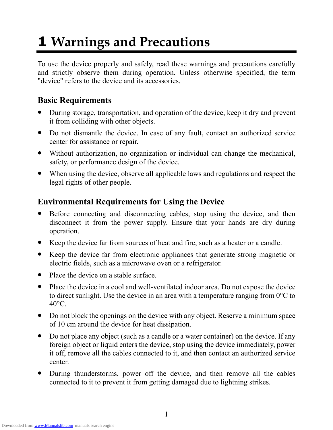# **1 Warnings and Precautions**

To use the device properly and safely, read these warnings and precautions carefully and strictly observe them during operation. Unless otherwise specified, the term "device" refers to the device and its accessories.

#### **Basic Requirements**

- During storage, transportation, and operation of the device, keep it dry and prevent it from colliding with other objects.
- Do not dismantle the device. In case of any fault, contact an authorized service center for assistance or repair.
- Without authorization, no organization or individual can change the mechanical, safety, or performance design of the device.
- When using the device, observe all applicable laws and regulations and respect the legal rights of other people.

#### **Environmental Requirements for Using the Device**

- Before connecting and disconnecting cables, stop using the device, and then disconnect it from the power supply. Ensure that your hands are dry during operation.
- Keep the device far from sources of heat and fire, such as a heater or a candle.
- Keep the device far from electronic appliances that generate strong magnetic or electric fields, such as a microwave oven or a refrigerator.
- Place the device on a stable surface.
- Place the device in a cool and well-ventilated indoor area. Do not expose the device to direct sunlight. Use the device in an area with a temperature ranging from 0°C to  $40^{\circ}$ C.
- Do not block the openings on the device with any object. Reserve a minimum space of 10 cm around the device for heat dissipation.
- Do not place any object (such as a candle or a water container) on the device. If any foreign object or liquid enters the device, stop using the device immediately, power it off, remove all the cables connected to it, and then contact an authorized service center.
- During thunderstorms, power off the device, and then remove all the cables connected to it to prevent it from getting damaged due to lightning strikes.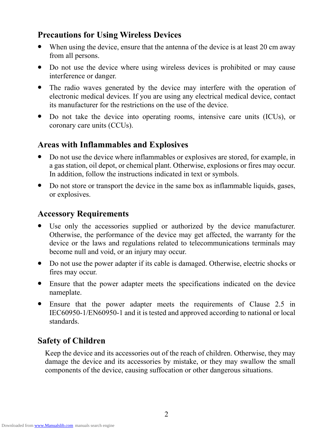#### **Precautions for Using Wireless Devices**

- $\bullet$  When using the device, ensure that the antenna of the device is at least 20 cm away from all persons.
- Do not use the device where using wireless devices is prohibited or may cause interference or danger.
- The radio waves generated by the device may interfere with the operation of electronic medical devices. If you are using any electrical medical device, contact its manufacturer for the restrictions on the use of the device.
- Do not take the device into operating rooms, intensive care units (ICUs), or coronary care units (CCUs).

#### **Areas with Inflammables and Explosives**

- Do not use the device where inflammables or explosives are stored, for example, in a gas station, oil depot, or chemical plant. Otherwise, explosions or fires may occur. In addition, follow the instructions indicated in text or symbols.
- Do not store or transport the device in the same box as inflammable liquids, gases, or explosives.

#### **Accessory Requirements**

- Use only the accessories supplied or authorized by the device manufacturer. Otherwise, the performance of the device may get affected, the warranty for the device or the laws and regulations related to telecommunications terminals may become null and void, or an injury may occur.
- Do not use the power adapter if its cable is damaged. Otherwise, electric shocks or fires may occur.
- Ensure that the power adapter meets the specifications indicated on the device nameplate.
- Ensure that the power adapter meets the requirements of Clause 2.5 in IEC60950-1/EN60950-1 and it is tested and approved according to national or local standards.

#### **Safety of Children**

Keep the device and its accessories out of the reach of children. Otherwise, they may damage the device and its accessories by mistake, or they may swallow the small components of the device, causing suffocation or other dangerous situations.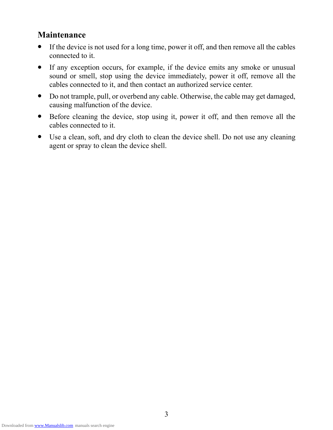#### **Maintenance**

- If the device is not used for a long time, power it off, and then remove all the cables connected to it.
- If any exception occurs, for example, if the device emits any smoke or unusual sound or smell, stop using the device immediately, power it off, remove all the cables connected to it, and then contact an authorized service center.
- Do not trample, pull, or overbend any cable. Otherwise, the cable may get damaged, causing malfunction of the device.
- Before cleaning the device, stop using it, power it off, and then remove all the cables connected to it.
- Use a clean, soft, and dry cloth to clean the device shell. Do not use any cleaning agent or spray to clean the device shell.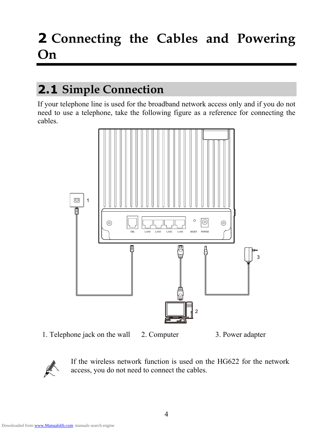# **2 Connecting the Cables and Powering On**

### **2.1 Simple Connection**

If your telephone line is used for the broadband network access only and if you do not need to use a telephone, take the following figure as a reference for connecting the cables.



1. Telephone jack on the wall 2. Computer 3. Power adapter



If the wireless network function is used on the HG622 for the network access, you do not need to connect the cables.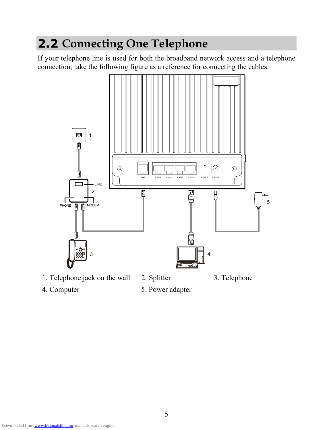### **2.2 Connecting One Telephone**

If your telephone line is used for both the broadband network access and a telephone connection, take the following figure as a reference for connecting the cables.



- 1. Telephone jack on the wall 2. Splitter 3. Telephone
	-
- 
- 4. Computer 5. Power adapter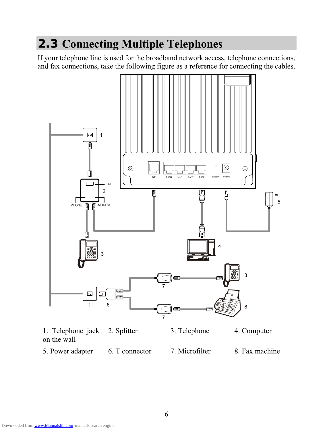### **2.3 Connecting Multiple Telephones**

If your telephone line is used for the broadband network access, telephone connections, and fax connections, take the following figure as a reference for connecting the cables.



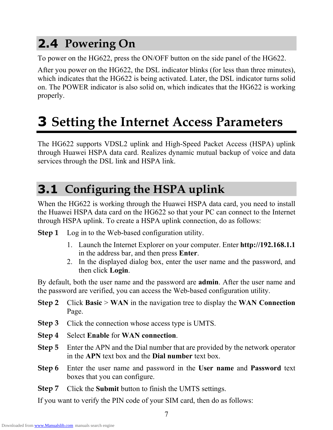### **2.4 Powering On**

To power on the HG622, press the ON/OFF button on the side panel of the HG622.

After you power on the HG622, the DSL indicator blinks (for less than three minutes), which indicates that the HG622 is being activated. Later, the DSL indicator turns solid on. The POWER indicator is also solid on, which indicates that the HG622 is working properly.

# **3 Setting the Internet Access Parameters**

The HG622 supports VDSL2 uplink and High-Speed Packet Access (HSPA) uplink through Huawei HSPA data card. Realizes dynamic mutual backup of voice and data services through the DSL link and HSPA link.

### **3.1 Configuring the HSPA uplink**

When the HG622 is working through the Huawei HSPA data card, you need to install the Huawei HSPA data card on the HG622 so that your PC can connect to the Internet through HSPA uplink. To create a HSPA uplink connection, do as follows:

**Step 1** Log in to the Web-based configuration utility.

- 1. Launch the Internet Explorer on your computer. Enter **http://192.168.1.1** in the address bar, and then press **Enter**.
- 2. In the displayed dialog box, enter the user name and the password, and then click **Login**.

By default, both the user name and the password are **admin**. After the user name and the password are verified, you can access the Web-based configuration utility.

- **Step 2** Click **Basic** > **WAN** in the navigation tree to display the **WAN Connection** Page.
- **Step 3** Click the connection whose access type is UMTS.
- **Step 4** Select **Enable** for **WAN connection**.
- **Step 5** Enter the APN and the Dial number that are provided by the network operator in the **APN** text box and the **Dial number** text box.
- **Step 6** Enter the user name and password in the **User name** and **Password** text boxes that you can configure.
- **Step 7** Click the **Submit** button to finish the UMTS settings.

If you want to verify the PIN code of your SIM card, then do as follows: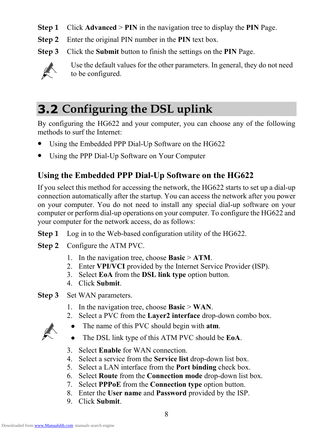- **Step 1** Click **Advanced** > **PIN** in the navigation tree to display the **PIN** Page.
- **Step 2** Enter the original PIN number in the **PIN** text box.
- **Step 3** Click the **Submit** button to finish the settings on the **PIN** Page.



Use the default values for the other parameters. In general, they do not need to be configured.

### **3.2 Configuring the DSL uplink**

By configuring the HG622 and your computer, you can choose any of the following methods to surf the Internet:

- Using the Embedded PPP Dial-Up Software on the HG622
- Using the PPP Dial-Up Software on Your Computer

#### **Using the Embedded PPP Dial-Up Software on the HG622**

If you select this method for accessing the network, the HG622 starts to set up a dial-up connection automatically after the startup. You can access the network after you power on your computer. You do not need to install any special dial-up software on your computer or perform dial-up operations on your computer. To configure the HG622 and your computer for the network access, do as follows:

- **Step 1** Log in to the Web-based configuration utility of the HG622.
- **Step 2** Configure the ATM PVC.
	- 1. In the navigation tree, choose **Basic** > **ATM**.
	- 2. Enter **VPI/VCI** provided by the Internet Service Provider (ISP).
	- 3. Select **EoA** from the **DSL link type** option button.
	- 4. Click **Submit**.
- **Step 3** Set WAN parameters.
	- 1. In the navigation tree, choose **Basic** > **WAN**.
	- 2. Select a PVC from the **Layer2 interface** drop-down combo box.
		- The name of this PVC should begin with **atm**.
	- The DSL link type of this ATM PVC should be **EoA**.
	- 3. Select **Enable** for WAN connection.
	- 4. Select a service from the **Service list** drop-down list box.
	- 5. Select a LAN interface from the **Port binding** check box.
	- 6. Select **Route** from the **Connection mode** drop-down list box.
	- 7. Select **PPPoE** from the **Connection type** option button.
	- 8. Enter the **User name** and **Password** provided by the ISP.
	- 9. Click **Submit**.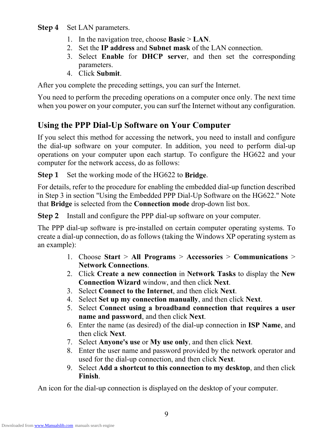#### **Step 4** Set LAN parameters.

- 1. In the navigation tree, choose **Basic** > **LAN**.
- 2. Set the **IP address** and **Subnet mask** of the LAN connection.
- 3. Select **Enable** for **DHCP serve**r, and then set the corresponding parameters.
- 4. Click **Submit**.

After you complete the preceding settings, you can surf the Internet.

You need to perform the preceding operations on a computer once only. The next time when you power on your computer, you can surf the Internet without any configuration.

#### **Using the PPP Dial-Up Software on Your Computer**

If you select this method for accessing the network, you need to install and configure the dial-up software on your computer. In addition, you need to perform dial-up operations on your computer upon each startup. To configure the HG622 and your computer for the network access, do as follows:

**Step 1** Set the working mode of the HG622 to **Bridge**.

For details, refer to the procedure for enabling the embedded dial-up function described in Step 3 in section "Using the Embedded PPP Dial-Up Software on the HG622." Note that **Bridge** is selected from the **Connection mode** drop-down list box.

**Step 2** Install and configure the PPP dial-up software on your computer.

The PPP dial-up software is pre-installed on certain computer operating systems. To create a dial-up connection, do as follows (taking the Windows XP operating system as an example):

- 1. Choose **Start** > **All Programs** > **Accessories** > **Communications** > **Network Connections**.
- 2. Click **Create a new connection** in **Network Tasks** to display the **New Connection Wizard** window, and then click **Next**.
- 3. Select **Connect to the Internet**, and then click **Next**.
- 4. Select **Set up my connection manually**, and then click **Next**.
- 5. Select **Connect using a broadband connection that requires a user name and password**, and then click **Next**.
- 6. Enter the name (as desired) of the dial-up connection in **ISP Name**, and then click **Next**.
- 7. Select **Anyone's use** or **My use only**, and then click **Next**.
- 8. Enter the user name and password provided by the network operator and used for the dial-up connection, and then click **Next**.
- 9. Select **Add a shortcut to this connection to my desktop**, and then click **Finish**.

An icon for the dial-up connection is displayed on the desktop of your computer.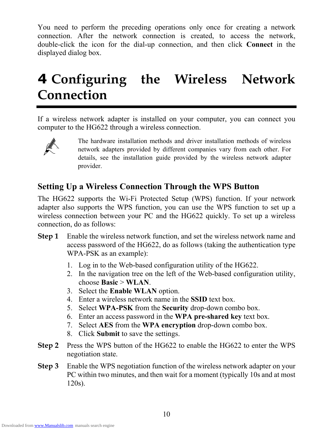You need to perform the preceding operations only once for creating a network connection. After the network connection is created, to access the network, double-click the icon for the dial-up connection, and then click **Connect** in the displayed dialog box.

# **4 Configuring the Wireless Network Connection**

If a wireless network adapter is installed on your computer, you can connect you computer to the HG622 through a wireless connection.



The hardware installation methods and driver installation methods of wireless network adapters provided by different companies vary from each other. For details, see the installation guide provided by the wireless network adapter provider.

#### **Setting Up a Wireless Connection Through the WPS Button**

The HG622 supports the Wi-Fi Protected Setup (WPS) function. If your network adapter also supports the WPS function, you can use the WPS function to set up a wireless connection between your PC and the HG622 quickly. To set up a wireless connection, do as follows:

- **Step 1** Enable the wireless network function, and set the wireless network name and access password of the HG622, do as follows (taking the authentication type WPA-PSK as an example):
	- 1. Log in to the Web-based configuration utility of the HG622.
	- 2. In the navigation tree on the left of the Web-based configuration utility, choose **Basic** > **WLAN**.
	- 3. Select the **Enable WLAN** option.
	- 4. Enter a wireless network name in the **SSID** text box.
	- 5. Select **WPA-PSK** from the **Security** drop-down combo box.
	- 6. Enter an access password in the **WPA pre-shared key** text box.
	- 7. Select **AES** from the **WPA encryption** drop-down combo box.
	- 8. Click **Submit** to save the settings.
- **Step 2** Press the WPS button of the HG622 to enable the HG622 to enter the WPS negotiation state.
- **Step 3** Enable the WPS negotiation function of the wireless network adapter on your PC within two minutes, and then wait for a moment (typically 10s and at most 120s).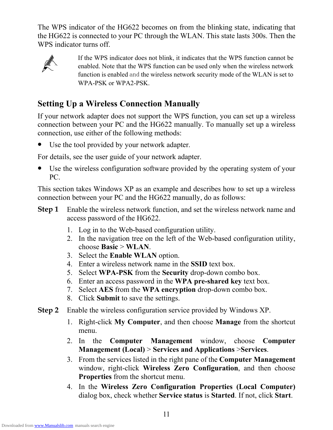The WPS indicator of the HG622 becomes on from the blinking state, indicating that the HG622 is connected to your PC through the WLAN. This state lasts 300s. Then the WPS indicator turns off.



If the WPS indicator does not blink, it indicates that the WPS function cannot be enabled. Note that the WPS function can be used only when the wireless network function is enabled and the wireless network security mode of the WLAN is set to WPA-PSK or WPA2-PSK.

#### **Setting Up a Wireless Connection Manually**

If your network adapter does not support the WPS function, you can set up a wireless connection between your PC and the HG622 manually. To manually set up a wireless connection, use either of the following methods:

Use the tool provided by your network adapter.

For details, see the user guide of your network adapter.

• Use the wireless configuration software provided by the operating system of your PC.

This section takes Windows XP as an example and describes how to set up a wireless connection between your PC and the HG622 manually, do as follows:

- **Step 1** Enable the wireless network function, and set the wireless network name and access password of the HG622.
	- 1. Log in to the Web-based configuration utility.
	- 2. In the navigation tree on the left of the Web-based configuration utility, choose **Basic** > **WLAN**.
	- 3. Select the **Enable WLAN** option.
	- 4. Enter a wireless network name in the **SSID** text box.
	- 5. Select **WPA-PSK** from the **Security** drop-down combo box.
	- 6. Enter an access password in the **WPA pre-shared key** text box.
	- 7. Select **AES** from the **WPA encryption** drop-down combo box.
	- 8. Click **Submit** to save the settings.
- **Step 2** Enable the wireless configuration service provided by Windows XP.
	- 1. Right-click **My Computer**, and then choose **Manage** from the shortcut menu.
	- 2. In the **Computer Management** window, choose **Computer Management (Local)** > **Services and Applications** >**Services**.
	- 3. From the services listed in the right pane of the **Computer Management** window, right-click **Wireless Zero Configuration**, and then choose **Properties** from the shortcut menu.
	- 4. In the **Wireless Zero Configuration Properties (Local Computer)** dialog box, check whether **Service status** is **Started**. If not, click **Start**.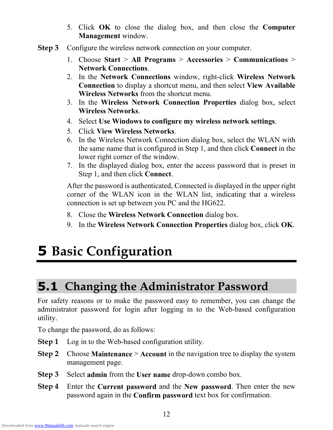- 5. Click **OK** to close the dialog box, and then close the **Computer Management** window.
- **Step 3** Configure the wireless network connection on your computer.
	- 1. Choose **Start** > **All Programs** > **Accessories** > **Communications** > **Network Connections**.
	- 2. In the **Network Connections** window, right-click **Wireless Network Connection** to display a shortcut menu, and then select **View Available Wireless Networks** from the shortcut menu.
	- 3. In the **Wireless Network Connection Properties** dialog box, select **Wireless Networks**.
	- 4. Select **Use Windows to configure my wireless network settings**.
	- 5. Click **View Wireless Networks**.
	- 6. In the Wireless Network Connection dialog box, select the WLAN with the same name that is configured in Step 1, and then click **Connect** in the lower right corner of the window.
	- 7. In the displayed dialog box, enter the access password that is preset in Step 1, and then click **Connect**.

After the password is authenticated, Connected is displayed in the upper right corner of the WLAN icon in the WLAN list, indicating that a wireless connection is set up between you PC and the HG622.

- 8. Close the **Wireless Network Connection** dialog box.
- 9. In the **Wireless Network Connection Properties** dialog box, click **OK**.

# **5 Basic Configuration**

### **5.1 Changing the Administrator Password**

For safety reasons or to make the password easy to remember, you can change the administrator password for login after logging in to the Web-based configuration utility.

To change the password, do as follows:

- **Step 1** Log in to the Web-based configuration utility.
- **Step 2** Choose **Maintenance** > **Account** in the navigation tree to display the system management page.
- **Step 3** Select **admin** from the **User name** drop-down combo box.
- **Step 4** Enter the **Current password** and the **New password**. Then enter the new password again in the **Confirm password** text box for confirmation.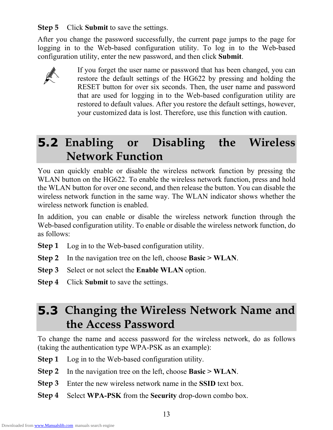**Step 5** Click **Submit** to save the settings.

After you change the password successfully, the current page jumps to the page for logging in to the Web-based configuration utility. To log in to the Web-based configuration utility, enter the new password, and then click **Submit**.



If you forget the user name or password that has been changed, you can restore the default settings of the HG622 by pressing and holding the RESET button for over six seconds. Then, the user name and password that are used for logging in to the Web-based configuration utility are restored to default values. After you restore the default settings, however, your customized data is lost. Therefore, use this function with caution.

### **5.2 Enabling or Disabling the Wireless Network Function**

You can quickly enable or disable the wireless network function by pressing the WLAN button on the HG622. To enable the wireless network function, press and hold the WLAN button for over one second, and then release the button. You can disable the wireless network function in the same way. The WLAN indicator shows whether the wireless network function is enabled.

In addition, you can enable or disable the wireless network function through the Web-based configuration utility. To enable or disable the wireless network function, do as follows:

- **Step 1** Log in to the Web-based configuration utility.
- **Step 2** In the navigation tree on the left, choose **Basic > WLAN**.
- **Step 3** Select or not select the **Enable WLAN** option.
- **Step 4** Click **Submit** to save the settings.

### **5.3 Changing the Wireless Network Name and the Access Password**

To change the name and access password for the wireless network, do as follows (taking the authentication type WPA-PSK as an example):

- **Step 1** Log in to the Web-based configuration utility.
- **Step 2** In the navigation tree on the left, choose **Basic > WLAN**.
- **Step 3** Enter the new wireless network name in the **SSID** text box.
- **Step 4** Select **WPA-PSK** from the **Security** drop-down combo box.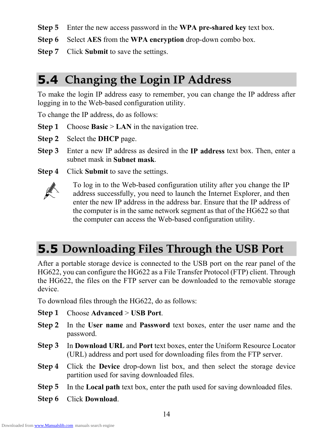- **Step 5** Enter the new access password in the **WPA pre-shared key** text box.
- **Step 6** Select **AES** from the **WPA encryption** drop-down combo box.
- **Step 7** Click **Submit** to save the settings.

### **5.4 Changing the Login IP Address**

To make the login IP address easy to remember, you can change the IP address after logging in to the Web-based configuration utility.

To change the IP address, do as follows:

- **Step 1** Choose **Basic** > **LAN** in the navigation tree.
- **Step 2** Select the **DHCP** page.
- **Step 3** Enter a new IP address as desired in the **IP address** text box. Then, enter a subnet mask in **Subnet mask**.
- **Step 4** Click **Submit** to save the settings.



To log in to the Web-based configuration utility after you change the IP address successfully, you need to launch the Internet Explorer, and then enter the new IP address in the address bar. Ensure that the IP address of the computer is in the same network segment as that of the HG622 so that the computer can access the Web-based configuration utility.

### **5.5 Downloading Files Through the USB Port**

After a portable storage device is connected to the USB port on the rear panel of the HG622, you can configure the HG622 as a File Transfer Protocol (FTP) client. Through the HG622, the files on the FTP server can be downloaded to the removable storage device.

To download files through the HG622, do as follows:

- **Step 1** Choose **Advanced** > **USB Port**.
- **Step 2** In the **User name** and **Password** text boxes, enter the user name and the password.
- **Step 3** In **Download URL** and **Port** text boxes, enter the Uniform Resource Locator (URL) address and port used for downloading files from the FTP server.
- **Step 4** Click the **Device** drop-down list box, and then select the storage device partition used for saving downloaded files.
- **Step 5** In the **Local path** text box, enter the path used for saving downloaded files.
- **Step 6** Click **Download**.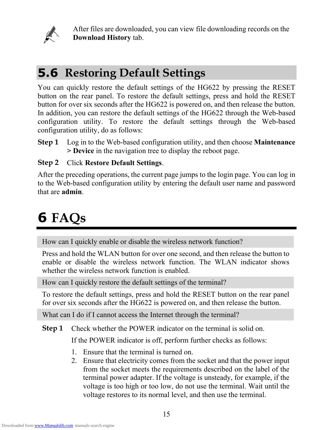

After files are downloaded, you can view file downloading records on the **Download History** tab.

### **5.6 Restoring Default Settings**

You can quickly restore the default settings of the HG622 by pressing the RESET button on the rear panel. To restore the default settings, press and hold the RESET button for over six seconds after the HG622 is powered on, and then release the button. In addition, you can restore the default settings of the HG622 through the Web-based configuration utility. To restore the default settings through the Web-based configuration utility, do as follows:

**Step 1** Log in to the Web-based configuration utility, and then choose **Maintenance > Device** in the navigation tree to display the reboot page.

#### **Step 2** Click **Restore Default Settings**.

After the preceding operations, the current page jumps to the login page. You can log in to the Web-based configuration utility by entering the default user name and password that are **admin**.

# **6 FAQs**

How can I quickly enable or disable the wireless network function?

Press and hold the WLAN button for over one second, and then release the button to enable or disable the wireless network function. The WLAN indicator shows whether the wireless network function is enabled.

How can I quickly restore the default settings of the terminal?

To restore the default settings, press and hold the RESET button on the rear panel for over six seconds after the HG622 is powered on, and then release the button.

What can I do if I cannot access the Internet through the terminal?

**Step 1** Check whether the POWER indicator on the terminal is solid on.

If the POWER indicator is off, perform further checks as follows:

- 1. Ensure that the terminal is turned on.
- 2. Ensure that electricity comes from the socket and that the power input from the socket meets the requirements described on the label of the terminal power adapter. If the voltage is unsteady, for example, if the voltage is too high or too low, do not use the terminal. Wait until the voltage restores to its normal level, and then use the terminal.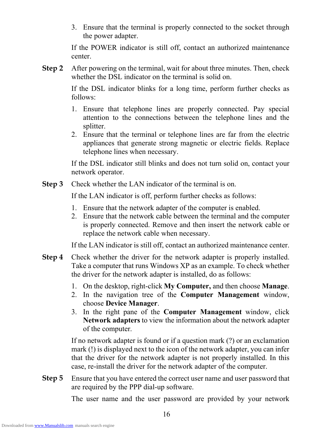3. Ensure that the terminal is properly connected to the socket through the power adapter.

If the POWER indicator is still off, contact an authorized maintenance center.

**Step 2** After powering on the terminal, wait for about three minutes. Then, check whether the DSL indicator on the terminal is solid on.

> If the DSL indicator blinks for a long time, perform further checks as follows:

- 1. Ensure that telephone lines are properly connected. Pay special attention to the connections between the telephone lines and the splitter.
- 2. Ensure that the terminal or telephone lines are far from the electric appliances that generate strong magnetic or electric fields. Replace telephone lines when necessary.

If the DSL indicator still blinks and does not turn solid on, contact your network operator.

**Step 3** Check whether the LAN indicator of the terminal is on.

If the LAN indicator is off, perform further checks as follows:

- 1. Ensure that the network adapter of the computer is enabled.
- 2. Ensure that the network cable between the terminal and the computer is properly connected. Remove and then insert the network cable or replace the network cable when necessary.

If the LAN indicator is still off, contact an authorized maintenance center.

- **Step 4** Take a computer that runs Windows XP as an example. To check whether Check whether the driver for the network adapter is properly installed. the driver for the network adapter is installed, do as follows:
	- 1. On the desktop, right-click **My Computer,** and then choose **Manage**.
	- 2. In the navigation tree of the **Computer Management** window, choose **Device Manager**.
	- 3. In the right pane of the **Computer Management** window, click Network adapters to view the information about the network adapter of the computer.

that the driver for the network adapter is not properly installed. In this If no network adapter is found or if a question mark (?) or an exclamation mark (!) is displayed next to the icon of the network adapter, you can infer case, re-install the driver for the network adapter of the computer.

**Step 5** Ensure that you have entered the correct user name and user password that are required by the PPP dial-up software.

The user name and the user password are provided by your network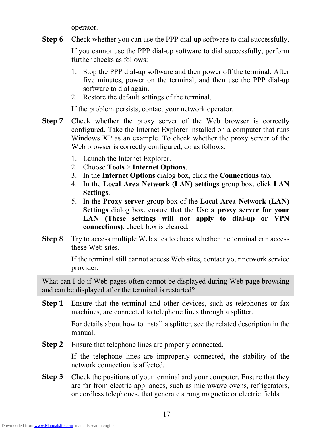operator.

**Step 6** Check whether you can use the PPP dial-up software to dial successfully.

> If you cannot use the PPP dial-up software to dial successfully, perform further checks as follows:

- 1. Stop the PPP dial-up software and then power off the terminal. After five minutes, power on the terminal, and then use the PPP dial-up software to dial again.
- 2. Restore the default settings of the terminal.

If the problem persists, contact your network operator.

- **Step 7** Windows XP as an example. To check whether the proxy server of the Web browser is correctly configured, do as follows: Check whether the proxy server of the Web browser is correctly configured. Take the Internet Explorer installed on a computer that runs
	- 1. Launch the Internet Explorer.
	- 2. Choose **Tools** > **Internet Options**.
	- 3. In the **Internet Options** dialog box, click the **Connections** tab.
	- 4. In the **Local Area Network (LAN) settings** group box, click **LAN Settings**.
	- 5. In the **Proxy server** group box of the **Local Area Network (LAN)**  LAN (These settings will not apply to dial-up or VPN **Settings** dialog box, ensure that the **Use a proxy server for your connections).** check box is cleared.
- **Step 8** Try to access multiple Web sites to check whether the terminal can access these Web sites.

If the terminal still cannot access Web sites, contact your network service provider.

What can I do if Web pages often cannot be displayed during Web page browsing and can be displayed after the terminal is restarted?

**Step 1** Ensure that the terminal and other devices, such as telephones or fax machines, are connected to telephone lines through a splitter.

> For details about how to install a splitter, see the related description in the manual.

**Step 2** Ensure that telephone lines are properly connected.

> If the telephone lines are improperly connected, the stability of the network connection is affected.

**Step 3** are far from electric appliances, such as microwave ovens, refrigerators, or cordless telephones, that generate strong magnetic or electric fields. Check the positions of your terminal and your computer. Ensure that they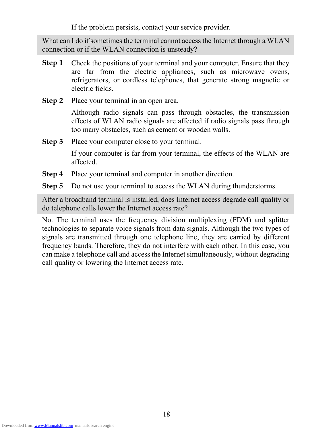If the problem persists, contact your service provider.

What can I do if sometimes the terminal cannot access the Internet through a WLAN connection or if the WLAN connection is unsteady?

- Check the positions of your terminal and your computer. Ensure that they are far from the electric appliances, such as microwave ovens, refrigerators, o r cordless telephones, that generate strong magnetic or **Step 1** electric fields.
- **Step 2** Place your terminal in an open area.

effects of WLAN radio signals are affected if radio signals pass through too many obstacles, such as cement or wooden walls. Although radio signals can pass through obstacles, the transmission

**Step 3** Place your computer close to your terminal.

> If your computer is far from your terminal, the effects of the WLAN are affected.

- **Step 4** Place your terminal and computer in another direction.
- **Step 5** Do not use your terminal to access the WLAN during thunderstorms.

After a broadband terminal is installed, does Internet access degrade call quality or do telephone calls lower the Internet access rate?

No. The terminal uses the frequency division multiplexing (FDM) and splitter technologies to separate voice signals from data signals. Although the two types of signals are transmitted through one telephone line, they are carried by different frequency bands. Therefore, they do not interfere with each other. In this case, you can make a telephone call and access the Internet simultaneously, without degrading call quality or lowering the Internet access rate.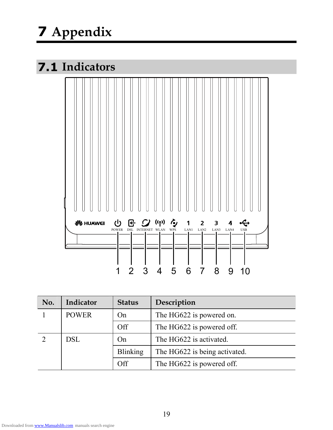# **7 Appendix**

### **7.1 Indicators**



| No. | Indicator    | <b>Status</b>   | Description                   |
|-----|--------------|-----------------|-------------------------------|
|     | <b>POWER</b> | On              | The HG622 is powered on.      |
|     |              | Off             | The HG622 is powered off.     |
|     | <b>DSL</b>   | On              | The HG622 is activated.       |
|     |              | <b>Blinking</b> | The HG622 is being activated. |
|     |              | Off             | The HG622 is powered off.     |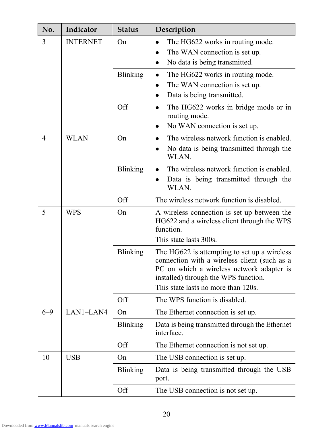| No.                  | Indicator   | <b>Status</b>   | Description                                                                                                                                                                                                              |
|----------------------|-------------|-----------------|--------------------------------------------------------------------------------------------------------------------------------------------------------------------------------------------------------------------------|
| <b>INTERNET</b><br>3 |             | On              | The HG622 works in routing mode.<br>The WAN connection is set up.<br>No data is being transmitted.<br>$\bullet$                                                                                                          |
|                      |             | <b>Blinking</b> | The HG622 works in routing mode.<br>The WAN connection is set up.<br>Data is being transmitted.<br>$\bullet$                                                                                                             |
|                      |             | Off             | The HG622 works in bridge mode or in<br>routing mode.<br>No WAN connection is set up.<br>$\bullet$                                                                                                                       |
| $\overline{4}$       | <b>WLAN</b> | On              | The wireless network function is enabled.<br>No data is being transmitted through the<br>WLAN.                                                                                                                           |
|                      |             | <b>Blinking</b> | The wireless network function is enabled.<br>Data is being transmitted through the<br>WLAN.                                                                                                                              |
|                      |             | Off             | The wireless network function is disabled.                                                                                                                                                                               |
| 5<br><b>WPS</b>      |             | On              | A wireless connection is set up between the<br>HG622 and a wireless client through the WPS<br>function.<br>This state lasts 300s.                                                                                        |
|                      |             | <b>Blinking</b> | The HG622 is attempting to set up a wireless<br>connection with a wireless client (such as a<br>PC on which a wireless network adapter is<br>installed) through the WPS function.<br>This state lasts no more than 120s. |
|                      |             | Off             | The WPS function is disabled.                                                                                                                                                                                            |
| $6 - 9$              | LAN1-LAN4   | On              | The Ethernet connection is set up.                                                                                                                                                                                       |
|                      |             | <b>Blinking</b> | Data is being transmitted through the Ethernet<br>interface.                                                                                                                                                             |
|                      |             | Off             | The Ethernet connection is not set up.                                                                                                                                                                                   |
| 10                   | <b>USB</b>  | On              | The USB connection is set up.                                                                                                                                                                                            |
|                      |             | <b>Blinking</b> | Data is being transmitted through the USB<br>port.                                                                                                                                                                       |
|                      |             | Off             | The USB connection is not set up.                                                                                                                                                                                        |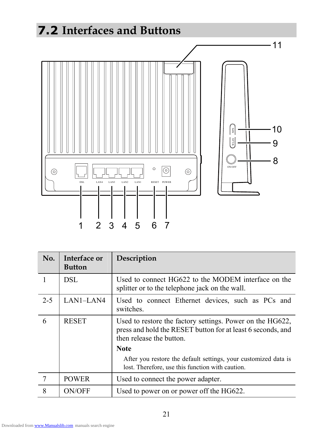# **7.2 Interfaces and Buttons**



| No.     | <b>Interface or</b><br><b>Button</b> | Description                                                                                                                                          |
|---------|--------------------------------------|------------------------------------------------------------------------------------------------------------------------------------------------------|
|         | <b>DSL</b>                           | Used to connect HG622 to the MODEM interface on the<br>splitter or to the telephone jack on the wall.                                                |
| $2 - 5$ | LAN1-LAN4                            | Used to connect Ethernet devices, such as PCs and<br>switches.                                                                                       |
| 6       | <b>RESET</b>                         | Used to restore the factory settings. Power on the HG622,<br>press and hold the RESET button for at least 6 seconds, and<br>then release the button. |
|         |                                      | <b>Note</b>                                                                                                                                          |
|         |                                      | After you restore the default settings, your customized data is<br>lost. Therefore, use this function with caution.                                  |
| 7       | <b>POWER</b>                         | Used to connect the power adapter.                                                                                                                   |
| 8       | <b>ON/OFF</b>                        | Used to power on or power off the HG622.                                                                                                             |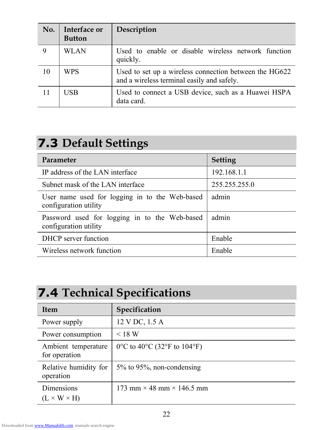| No. | Interface or<br><b>Button</b> | Description                                                                                          |
|-----|-------------------------------|------------------------------------------------------------------------------------------------------|
|     | WLAN                          | Used to enable or disable wireless network function<br>quickly.                                      |
| 10  | <b>WPS</b>                    | Used to set up a wireless connection between the HG622<br>and a wireless terminal easily and safely. |
| 11  | <b>USB</b>                    | Used to connect a USB device, such as a Huawei HSPA<br>data card.                                    |

### **7.3 Default Settings**

| Parameter                                                               | <b>Setting</b> |
|-------------------------------------------------------------------------|----------------|
| IP address of the LAN interface                                         | 192.168.1.1    |
| Subnet mask of the LAN interface                                        | 255.255.255.0  |
| User name used for logging in to the Web-based<br>configuration utility | admin          |
| Password used for logging in to the Web-based<br>configuration utility  | admin          |
| <b>DHCP</b> server function                                             | Enable         |
| Wireless network function                                               | Enable         |

### **7.4 Technical Specifications**

| <b>Item</b>                          | Specification                           |
|--------------------------------------|-----------------------------------------|
| Power supply                         | 12 V DC, 1.5 A                          |
| Power consumption                    | < 18 W                                  |
| Ambient temperature<br>for operation | 0 °C to 40 °C (32 °F to 104 °F)         |
| Relative humidity for<br>operation   | $5\%$ to 95%, non-condensing            |
| Dimensions                           | 173 mm $\times$ 48 mm $\times$ 146.5 mm |
| $(L \times W \times H)$              |                                         |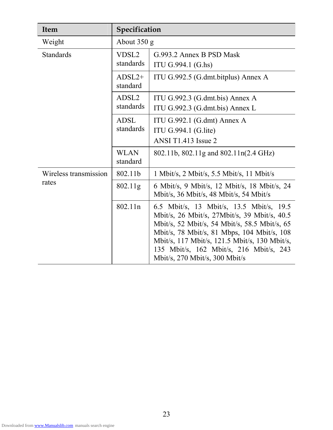| <b>Item</b>           | Specification                  |                                                                                                                                                                                                                                                                                                                        |
|-----------------------|--------------------------------|------------------------------------------------------------------------------------------------------------------------------------------------------------------------------------------------------------------------------------------------------------------------------------------------------------------------|
| Weight                | About $350$ g                  |                                                                                                                                                                                                                                                                                                                        |
| <b>Standards</b>      | VDSL <sub>2</sub><br>standards | G.993.2 Annex B PSD Mask<br>ITU G.994.1 (G.hs)                                                                                                                                                                                                                                                                         |
|                       | $ADSL2+$<br>standard           | ITU G.992.5 (G.dmt.bitplus) Annex A                                                                                                                                                                                                                                                                                    |
|                       | ADSL <sub>2</sub><br>standards | ITU G.992.3 (G.dmt.bis) Annex A<br>ITU G.992.3 (G.dmt.bis) Annex L                                                                                                                                                                                                                                                     |
|                       | <b>ADSL</b><br>standards       | ITU G.992.1 (G.dmt) Annex A<br>ITU G.994.1 (G.lite)<br>ANSI T1.413 Issue 2                                                                                                                                                                                                                                             |
|                       | <b>WLAN</b><br>standard        | 802.11b, 802.11g and 802.11n(2.4 GHz)                                                                                                                                                                                                                                                                                  |
| Wireless transmission | 802.11b                        | 1 Mbit/s, 2 Mbit/s, 5.5 Mbit/s, 11 Mbit/s                                                                                                                                                                                                                                                                              |
| rates                 | 802.11g                        | 6 Mbit/s, 9 Mbit/s, 12 Mbit/s, 18 Mbit/s, 24<br>Mbit/s, 36 Mbit/s, 48 Mbit/s, 54 Mbit/s                                                                                                                                                                                                                                |
|                       | 802.11n                        | 6.5 Mbit/s, 13 Mbit/s, 13.5 Mbit/s, 19.5<br>Mbit/s, 26 Mbit/s, 27Mbit/s, 39 Mbit/s, 40.5<br>Mbit/s, 52 Mbit/s, 54 Mbit/s, 58.5 Mbit/s, 65<br>Mbit/s, 78 Mbit/s, 81 Mbps, 104 Mbit/s, 108<br>Mbit/s, 117 Mbit/s, 121.5 Mbit/s, 130 Mbit/s,<br>135 Mbit/s, 162 Mbit/s, 216 Mbit/s, 243<br>Mbit/s, 270 Mbit/s, 300 Mbit/s |